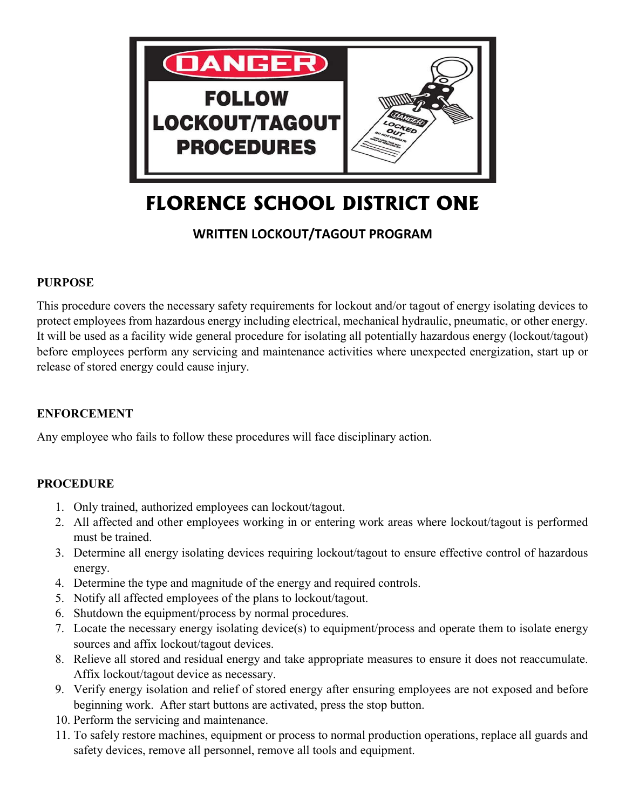

# FLORENCE SCHOOL DISTRICT ONE

## WRITTEN LOCKOUT/TAGOUT PROGRAM

### PURPOSE

This procedure covers the necessary safety requirements for lockout and/or tagout of energy isolating devices to protect employees from hazardous energy including electrical, mechanical hydraulic, pneumatic, or other energy. It will be used as a facility wide general procedure for isolating all potentially hazardous energy (lockout/tagout) before employees perform any servicing and maintenance activities where unexpected energization, start up or release of stored energy could cause injury.

## ENFORCEMENT

Any employee who fails to follow these procedures will face disciplinary action.

## PROCEDURE

- 1. Only trained, authorized employees can lockout/tagout.
- 2. All affected and other employees working in or entering work areas where lockout/tagout is performed must be trained.
- 3. Determine all energy isolating devices requiring lockout/tagout to ensure effective control of hazardous energy.
- 4. Determine the type and magnitude of the energy and required controls.
- 5. Notify all affected employees of the plans to lockout/tagout.
- 6. Shutdown the equipment/process by normal procedures.
- 7. Locate the necessary energy isolating device(s) to equipment/process and operate them to isolate energy sources and affix lockout/tagout devices.
- 8. Relieve all stored and residual energy and take appropriate measures to ensure it does not reaccumulate. Affix lockout/tagout device as necessary.
- 9. Verify energy isolation and relief of stored energy after ensuring employees are not exposed and before beginning work. After start buttons are activated, press the stop button.
- 10. Perform the servicing and maintenance.
- 11. To safely restore machines, equipment or process to normal production operations, replace all guards and safety devices, remove all personnel, remove all tools and equipment.